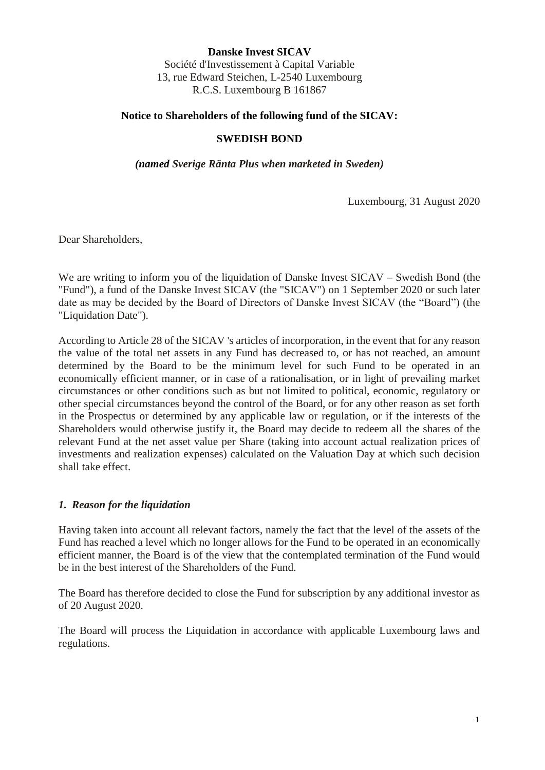**Danske Invest SICAV** Société d'Investissement à Capital Variable 13, rue Edward Steichen, L-2540 Luxembourg R.C.S. Luxembourg B 161867

## **Notice to Shareholders of the following fund of the SICAV:**

## **SWEDISH BOND**

*(named Sverige Ränta Plus when marketed in Sweden)*

Luxembourg, 31 August 2020

Dear Shareholders,

We are writing to inform you of the liquidation of Danske Invest SICAV – Swedish Bond (the "Fund"), a fund of the Danske Invest SICAV (the "SICAV") on 1 September 2020 or such later date as may be decided by the Board of Directors of Danske Invest SICAV (the "Board") (the "Liquidation Date").

According to Article 28 of the SICAV 's articles of incorporation, in the event that for any reason the value of the total net assets in any Fund has decreased to, or has not reached, an amount determined by the Board to be the minimum level for such Fund to be operated in an economically efficient manner, or in case of a rationalisation, or in light of prevailing market circumstances or other conditions such as but not limited to political, economic, regulatory or other special circumstances beyond the control of the Board, or for any other reason as set forth in the Prospectus or determined by any applicable law or regulation, or if the interests of the Shareholders would otherwise justify it, the Board may decide to redeem all the shares of the relevant Fund at the net asset value per Share (taking into account actual realization prices of investments and realization expenses) calculated on the Valuation Day at which such decision shall take effect.

## *1. Reason for the liquidation*

Having taken into account all relevant factors, namely the fact that the level of the assets of the Fund has reached a level which no longer allows for the Fund to be operated in an economically efficient manner, the Board is of the view that the contemplated termination of the Fund would be in the best interest of the Shareholders of the Fund.

The Board has therefore decided to close the Fund for subscription by any additional investor as of 20 August 2020.

The Board will process the Liquidation in accordance with applicable Luxembourg laws and regulations.